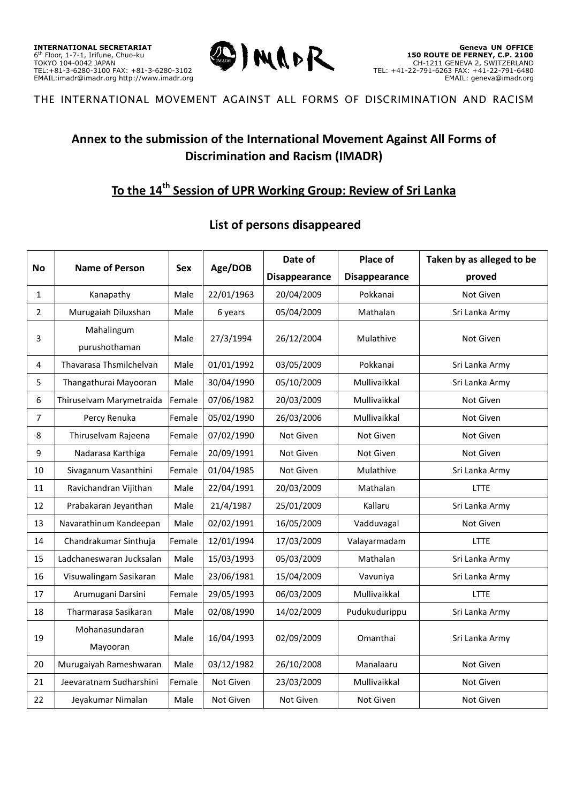

## **Annex to the submission of the International Movement Against All Forms of Discrimination and Racism (IMADR)**

# **To the 14th Session of UPR Working Group: Review of Sri Lanka**

### **List of persons disappeared**

|                | <b>Name of Person</b>       |               | Age/DOB<br><b>Sex</b> | Date of              | Place of             | Taken by as alleged to be |
|----------------|-----------------------------|---------------|-----------------------|----------------------|----------------------|---------------------------|
| <b>No</b>      |                             |               |                       | <b>Disappearance</b> | <b>Disappearance</b> | proved                    |
| $\mathbf{1}$   | Kanapathy                   | Male          | 22/01/1963            | 20/04/2009           | Pokkanai             | Not Given                 |
| $\overline{2}$ | Murugaiah Diluxshan         | Male          | 6 years               | 05/04/2009           | Mathalan             | Sri Lanka Army            |
| 3              | Mahalingum<br>purushothaman | Male          | 27/3/1994             | 26/12/2004           | Mulathive            | Not Given                 |
| 4              | Thavarasa Thsmilchelvan     | Male          | 01/01/1992            | 03/05/2009           | Pokkanai             | Sri Lanka Army            |
| 5              | Thangathurai Mayooran       | Male          | 30/04/1990            | 05/10/2009           | Mullivaikkal         | Sri Lanka Army            |
| 6              | Thiruselvam Marymetraida    | Female        | 07/06/1982            | 20/03/2009           | Mullivaikkal         | Not Given                 |
| 7              | Percy Renuka                | Female        | 05/02/1990            | 26/03/2006           | Mullivaikkal         | Not Given                 |
| 8              | Thiruselvam Rajeena         | <b>Female</b> | 07/02/1990            | Not Given            | Not Given            | Not Given                 |
| 9              | Nadarasa Karthiga           | Female        | 20/09/1991            | Not Given            | Not Given            | Not Given                 |
| 10             | Sivaganum Vasanthini        | Female        | 01/04/1985            | Not Given            | Mulathive            | Sri Lanka Army            |
| $11\,$         | Ravichandran Vijithan       | Male          | 22/04/1991            | 20/03/2009           | Mathalan             | <b>LTTE</b>               |
| 12             | Prabakaran Jeyanthan        | Male          | 21/4/1987             | 25/01/2009           | Kallaru              | Sri Lanka Army            |
| 13             | Navarathinum Kandeepan      | Male          | 02/02/1991            | 16/05/2009           | Vadduvagal           | Not Given                 |
| 14             | Chandrakumar Sinthuja       | Female        | 12/01/1994            | 17/03/2009           | Valayarmadam         | <b>LTTE</b>               |
| 15             | Ladchaneswaran Jucksalan    | Male          | 15/03/1993            | 05/03/2009           | Mathalan             | Sri Lanka Army            |
| 16             | Visuwalingam Sasikaran      | Male          | 23/06/1981            | 15/04/2009           | Vavuniya             | Sri Lanka Army            |
| 17             | Arumugani Darsini           | Female        | 29/05/1993            | 06/03/2009           | Mullivaikkal         | <b>LTTE</b>               |
| 18             | Tharmarasa Sasikaran        | Male          | 02/08/1990            | 14/02/2009           | Pudukudurippu        | Sri Lanka Army            |
| 19             | Mohanasundaran<br>Mayooran  | Male          | 16/04/1993            | 02/09/2009           | Omanthai             | Sri Lanka Army            |
| 20             | Murugaiyah Rameshwaran      | Male          | 03/12/1982            | 26/10/2008           | Manalaaru            | Not Given                 |
| 21             | Jeevaratnam Sudharshini     | Female        | Not Given             | 23/03/2009           | Mullivaikkal         | Not Given                 |
| 22             | Jeyakumar Nimalan           | Male          | Not Given             | Not Given            | Not Given            | Not Given                 |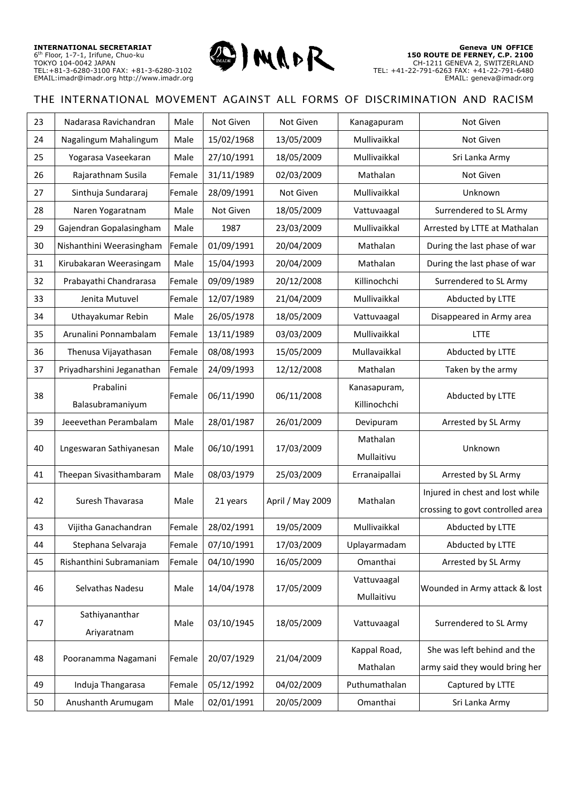

| 23 | Nadarasa Ravichandran         | Male   | Not Given  | Not Given        | Kanagapuram               | Not Given                        |
|----|-------------------------------|--------|------------|------------------|---------------------------|----------------------------------|
| 24 | Nagalingum Mahalingum         | Male   | 15/02/1968 | 13/05/2009       | Mullivaikkal              | Not Given                        |
| 25 | Yogarasa Vaseekaran           | Male   | 27/10/1991 | 18/05/2009       | Mullivaikkal              | Sri Lanka Army                   |
| 26 | Rajarathnam Susila            | Female | 31/11/1989 | 02/03/2009       | Mathalan                  | Not Given                        |
| 27 | Sinthuja Sundararaj           | Female | 28/09/1991 | Not Given        | Mullivaikkal              | Unknown                          |
| 28 | Naren Yogaratnam              | Male   | Not Given  | 18/05/2009       | Vattuvaagal               | Surrendered to SL Army           |
| 29 | Gajendran Gopalasingham       | Male   | 1987       | 23/03/2009       | Mullivaikkal              | Arrested by LTTE at Mathalan     |
| 30 | Nishanthini Weerasingham      | Female | 01/09/1991 | 20/04/2009       | Mathalan                  | During the last phase of war     |
| 31 | Kirubakaran Weerasingam       | Male   | 15/04/1993 | 20/04/2009       | Mathalan                  | During the last phase of war     |
| 32 | Prabayathi Chandrarasa        | Female | 09/09/1989 | 20/12/2008       | Killinochchi              | Surrendered to SL Army           |
| 33 | Jenita Mutuvel                | Female | 12/07/1989 | 21/04/2009       | Mullivaikkal              | Abducted by LTTE                 |
| 34 | Uthayakumar Rebin             | Male   | 26/05/1978 | 18/05/2009       | Vattuvaagal               | Disappeared in Army area         |
| 35 | Arunalini Ponnambalam         | Female | 13/11/1989 | 03/03/2009       | Mullivaikkal              | <b>LTTE</b>                      |
| 36 | Thenusa Vijayathasan          | Female | 08/08/1993 | 15/05/2009       | Mullavaikkal              | Abducted by LTTE                 |
| 37 | Priyadharshini Jeganathan     | Female | 24/09/1993 | 12/12/2008       | Mathalan                  | Taken by the army                |
| 38 | Prabalini                     | Female | 06/11/1990 | 06/11/2008       | Kanasapuram,              | Abducted by LTTE                 |
|    | Balasubramaniyum              |        |            |                  | Killinochchi              |                                  |
| 39 | Jeeevethan Perambalam         | Male   | 28/01/1987 | 26/01/2009       | Devipuram                 | Arrested by SL Army              |
| 40 | Lngeswaran Sathiyanesan       | Male   | 06/10/1991 | 17/03/2009       | Mathalan                  | Unknown                          |
|    |                               |        |            |                  | Mullaitivu                |                                  |
| 41 | Theepan Sivasithambaram       | Male   | 08/03/1979 | 25/03/2009       | Erranaipallai             | Arrested by SL Army              |
| 42 | Suresh Thavarasa              | Male   | 21 years   | April / May 2009 | Mathalan                  | Injured in chest and lost while  |
|    |                               |        |            |                  |                           | crossing to govt controlled area |
| 43 | Vijitha Ganachandran          | Female | 28/02/1991 | 19/05/2009       | Mullivaikkal              | Abducted by LTTE                 |
| 44 | Stephana Selvaraja            | Female | 07/10/1991 | 17/03/2009       | Uplayarmadam              | Abducted by LTTE                 |
| 45 | Rishanthini Subramaniam       | Female | 04/10/1990 | 16/05/2009       | Omanthai                  | Arrested by SL Army              |
| 46 | Selvathas Nadesu              | Male   | 14/04/1978 | 17/05/2009       | Vattuvaagal<br>Mullaitivu | Wounded in Army attack & lost    |
| 47 | Sathiyananthar<br>Ariyaratnam | Male   | 03/10/1945 | 18/05/2009       | Vattuvaagal               | Surrendered to SL Army           |
|    |                               |        |            |                  | Kappal Road,              | She was left behind and the      |
| 48 | Pooranamma Nagamani           | Female | 20/07/1929 | 21/04/2009       | Mathalan                  | army said they would bring her   |
| 49 | Induja Thangarasa             | Female | 05/12/1992 | 04/02/2009       | Puthumathalan             | Captured by LTTE                 |
| 50 | Anushanth Arumugam            | Male   | 02/01/1991 | 20/05/2009       | Omanthai                  | Sri Lanka Army                   |
|    |                               |        |            |                  |                           |                                  |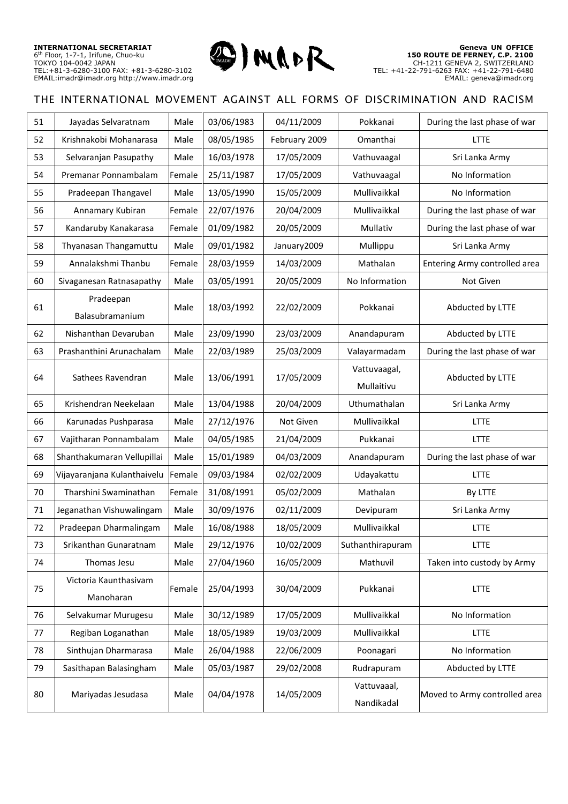

| 51 | Jayadas Selvaratnam                | Male   | 03/06/1983 | 04/11/2009    | Pokkanai                   | During the last phase of war  |
|----|------------------------------------|--------|------------|---------------|----------------------------|-------------------------------|
| 52 | Krishnakobi Mohanarasa             | Male   | 08/05/1985 | February 2009 | Omanthai                   | LTTE                          |
| 53 | Selvaranjan Pasupathy              | Male   | 16/03/1978 | 17/05/2009    | Vathuvaagal                | Sri Lanka Army                |
| 54 | Premanar Ponnambalam               | Female | 25/11/1987 | 17/05/2009    | Vathuvaagal                | No Information                |
| 55 | Pradeepan Thangavel                | Male   | 13/05/1990 | 15/05/2009    | Mullivaikkal               | No Information                |
| 56 | Annamary Kubiran                   | Female | 22/07/1976 | 20/04/2009    | Mullivaikkal               | During the last phase of war  |
| 57 | Kandaruby Kanakarasa               | Female | 01/09/1982 | 20/05/2009    | Mullativ                   | During the last phase of war  |
| 58 | Thyanasan Thangamuttu              | Male   | 09/01/1982 | January2009   | Mullippu                   | Sri Lanka Army                |
| 59 | Annalakshmi Thanbu                 | Female | 28/03/1959 | 14/03/2009    | Mathalan                   | Entering Army controlled area |
| 60 | Sivaganesan Ratnasapathy           | Male   | 03/05/1991 | 20/05/2009    | No Information             | Not Given                     |
| 61 | Pradeepan<br>Balasubramanium       | Male   | 18/03/1992 | 22/02/2009    | Pokkanai                   | Abducted by LTTE              |
| 62 | Nishanthan Devaruban               | Male   | 23/09/1990 | 23/03/2009    | Anandapuram                | Abducted by LTTE              |
| 63 | Prashanthini Arunachalam           | Male   | 22/03/1989 | 25/03/2009    | Valayarmadam               | During the last phase of war  |
| 64 | Sathees Ravendran                  | Male   | 13/06/1991 | 17/05/2009    | Vattuvaagal,<br>Mullaitivu | Abducted by LTTE              |
| 65 | Krishendran Neekelaan              | Male   | 13/04/1988 | 20/04/2009    | Uthumathalan               | Sri Lanka Army                |
| 66 | Karunadas Pushparasa               | Male   | 27/12/1976 | Not Given     | Mullivaikkal               | LTTE                          |
| 67 | Vajitharan Ponnambalam             | Male   | 04/05/1985 | 21/04/2009    | Pukkanai                   | <b>LTTE</b>                   |
| 68 | Shanthakumaran Vellupillai         | Male   | 15/01/1989 | 04/03/2009    | Anandapuram                | During the last phase of war  |
| 69 | Vijayaranjana Kulanthaivelu        | Female | 09/03/1984 | 02/02/2009    | Udayakattu                 | <b>LTTE</b>                   |
| 70 | Tharshini Swaminathan              | Female | 31/08/1991 | 05/02/2009    | Mathalan                   | By LTTE                       |
| 71 | Jeganathan Vishuwalingam           | Male   | 30/09/1976 | 02/11/2009    | Devipuram                  | Sri Lanka Army                |
| 72 | Pradeepan Dharmalingam             | Male   | 16/08/1988 | 18/05/2009    | Mullivaikkal               | <b>LTTE</b>                   |
| 73 | Srikanthan Gunaratnam              | Male   | 29/12/1976 | 10/02/2009    | Suthanthirapuram           | LTTE                          |
| 74 | Thomas Jesu                        | Male   | 27/04/1960 | 16/05/2009    | Mathuvil                   | Taken into custody by Army    |
| 75 | Victoria Kaunthasivam<br>Manoharan | Female | 25/04/1993 | 30/04/2009    | Pukkanai                   | LTTE                          |
| 76 | Selvakumar Murugesu                | Male   | 30/12/1989 | 17/05/2009    | Mullivaikkal               | No Information                |
| 77 | Regiban Loganathan                 | Male   | 18/05/1989 | 19/03/2009    | Mullivaikkal               | LTTE                          |
| 78 | Sinthujan Dharmarasa               | Male   | 26/04/1988 | 22/06/2009    | Poonagari                  | No Information                |
| 79 | Sasithapan Balasingham             | Male   | 05/03/1987 | 29/02/2008    | Rudrapuram                 | Abducted by LTTE              |
| 80 | Mariyadas Jesudasa                 | Male   | 04/04/1978 | 14/05/2009    | Vattuvaaal,<br>Nandikadal  | Moved to Army controlled area |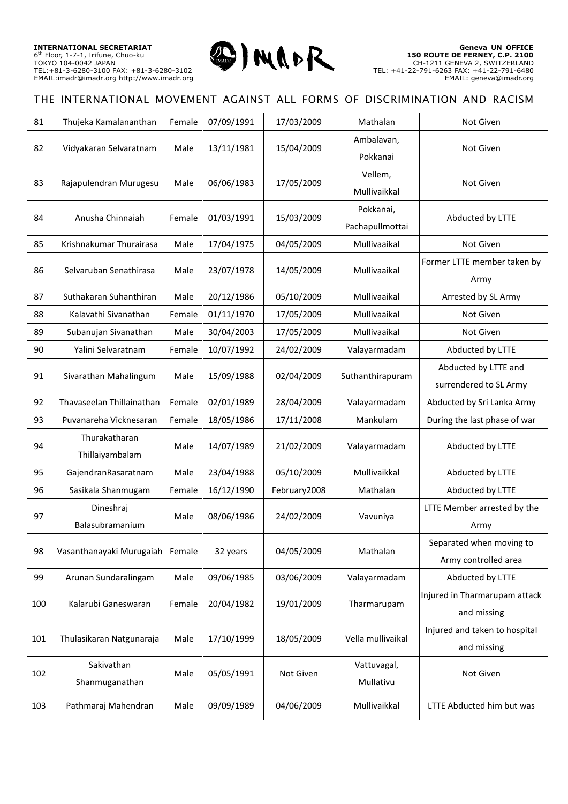

| 81  | Thujeka Kamalananthan            | Female | 07/09/1991 | 17/03/2009   | Mathalan                     | Not Given                                        |
|-----|----------------------------------|--------|------------|--------------|------------------------------|--------------------------------------------------|
| 82  | Vidyakaran Selvaratnam           | Male   | 13/11/1981 | 15/04/2009   | Ambalavan,<br>Pokkanai       | Not Given                                        |
| 83  | Rajapulendran Murugesu           | Male   | 06/06/1983 | 17/05/2009   | Vellem,<br>Mullivaikkal      | Not Given                                        |
| 84  | Anusha Chinnaiah                 | Female | 01/03/1991 | 15/03/2009   | Pokkanai,<br>Pachapullmottai | Abducted by LTTE                                 |
| 85  | Krishnakumar Thurairasa          | Male   | 17/04/1975 | 04/05/2009   | Mullivaaikal                 | Not Given                                        |
| 86  | Selvaruban Senathirasa           | Male   | 23/07/1978 | 14/05/2009   | Mullivaaikal                 | Former LTTE member taken by<br>Army              |
| 87  | Suthakaran Suhanthiran           | Male   | 20/12/1986 | 05/10/2009   | Mullivaaikal                 | Arrested by SL Army                              |
| 88  | Kalavathi Sivanathan             | Female | 01/11/1970 | 17/05/2009   | Mullivaaikal                 | Not Given                                        |
| 89  | Subanujan Sivanathan             | Male   | 30/04/2003 | 17/05/2009   | Mullivaaikal                 | Not Given                                        |
| 90  | Yalini Selvaratnam               | Female | 10/07/1992 | 24/02/2009   | Valayarmadam                 | Abducted by LTTE                                 |
| 91  | Sivarathan Mahalingum            | Male   | 15/09/1988 | 02/04/2009   | Suthanthirapuram             | Abducted by LTTE and<br>surrendered to SL Army   |
| 92  | Thavaseelan Thillainathan        | Female | 02/01/1989 | 28/04/2009   | Valayarmadam                 | Abducted by Sri Lanka Army                       |
| 93  | Puvanareha Vicknesaran           | Female | 18/05/1986 | 17/11/2008   | Mankulam                     | During the last phase of war                     |
| 94  | Thurakatharan<br>Thillaiyambalam | Male   | 14/07/1989 | 21/02/2009   | Valayarmadam                 | Abducted by LTTE                                 |
| 95  | GajendranRasaratnam              | Male   | 23/04/1988 | 05/10/2009   | Mullivaikkal                 | Abducted by LTTE                                 |
| 96  | Sasikala Shanmugam               | Female | 16/12/1990 | February2008 | Mathalan                     | Abducted by LTTE                                 |
| 97  | Dineshraj<br>Balasubramanium     | Male   | 08/06/1986 | 24/02/2009   | Vavuniya                     | LTTE Member arrested by the<br>Army              |
| 98  | Vasanthanayaki Murugaiah         | Female | 32 years   | 04/05/2009   | Mathalan                     | Separated when moving to<br>Army controlled area |
| 99  | Arunan Sundaralingam             | Male   | 09/06/1985 | 03/06/2009   | Valayarmadam                 | Abducted by LTTE                                 |
| 100 | Kalarubi Ganeswaran              | Female | 20/04/1982 | 19/01/2009   | Tharmarupam                  | Injured in Tharmarupam attack<br>and missing     |
| 101 | Thulasikaran Natgunaraja         | Male   | 17/10/1999 | 18/05/2009   | Vella mullivaikal            | Injured and taken to hospital<br>and missing     |
| 102 | Sakivathan<br>Shanmuganathan     | Male   | 05/05/1991 | Not Given    | Vattuvagal,<br>Mullativu     | Not Given                                        |
| 103 | Pathmaraj Mahendran              | Male   | 09/09/1989 | 04/06/2009   | Mullivaikkal                 | LTTE Abducted him but was                        |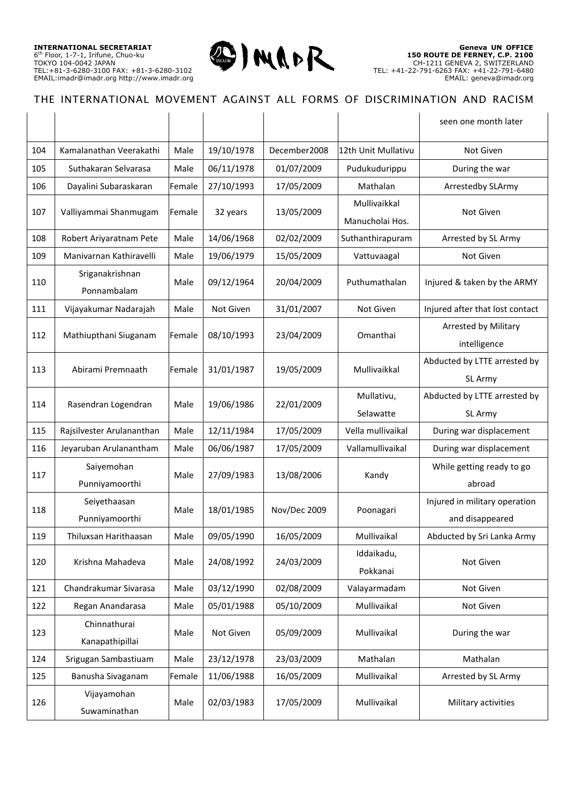

|     |                                 |        |            |              |                                 | seen one month later                             |
|-----|---------------------------------|--------|------------|--------------|---------------------------------|--------------------------------------------------|
| 104 | Kamalanathan Veerakathi         | Male   | 19/10/1978 | December2008 | 12th Unit Mullativu             | Not Given                                        |
| 105 | Suthakaran Selvarasa            | Male   | 06/11/1978 | 01/07/2009   | Pudukudurippu                   | During the war                                   |
| 106 | Dayalini Subaraskaran           | Female | 27/10/1993 | 17/05/2009   | Mathalan                        | Arrestedby SLArmy                                |
| 107 | Valliyammai Shanmugam           | Female | 32 years   | 13/05/2009   | Mullivaikkal<br>Manucholai Hos. | Not Given                                        |
| 108 | Robert Ariyaratnam Pete         | Male   | 14/06/1968 | 02/02/2009   | Suthanthirapuram                | Arrested by SL Army                              |
| 109 | Manivarnan Kathiravelli         | Male   | 19/06/1979 | 15/05/2009   | Vattuvaagal                     | Not Given                                        |
| 110 | Sriganakrishnan<br>Ponnambalam  | Male   | 09/12/1964 | 20/04/2009   | Puthumathalan                   | Injured & taken by the ARMY                      |
| 111 | Vijayakumar Nadarajah           | Male   | Not Given  | 31/01/2007   | Not Given                       | Injured after that lost contact                  |
| 112 | Mathiupthani Siuganam           | Female | 08/10/1993 | 23/04/2009   | Omanthai                        | Arrested by Military<br>intelligence             |
| 113 | Abirami Premnaath               | Female | 31/01/1987 | 19/05/2009   | Mullivaikkal                    | Abducted by LTTE arrested by<br>SL Army          |
| 114 | Rasendran Logendran             | Male   | 19/06/1986 | 22/01/2009   | Mullativu,<br>Selawatte         | Abducted by LTTE arrested by<br>SL Army          |
| 115 | Rajsilvester Arulananthan       | Male   | 12/11/1984 | 17/05/2009   | Vella mullivaikal               | During war displacement                          |
| 116 | Jeyaruban Arulanantham          | Male   | 06/06/1987 | 17/05/2009   | Vallamullivaikal                | During war displacement                          |
| 117 | Saiyemohan<br>Punniyamoorthi    | Male   | 27/09/1983 | 13/08/2006   | Kandy                           | While getting ready to go<br>abroad              |
| 118 | Seiyethaasan<br>Punniyamoorthi  | Male   | 18/01/1985 | Nov/Dec 2009 | Poonagari                       | Injured in military operation<br>and disappeared |
| 119 | Thiluxsan Harithaasan           | Male   | 09/05/1990 | 16/05/2009   | Mullivaikal                     | Abducted by Sri Lanka Army                       |
| 120 | Krishna Mahadeva                | Male   | 24/08/1992 | 24/03/2009   | Iddaikadu,<br>Pokkanai          | Not Given                                        |
| 121 | Chandrakumar Sivarasa           | Male   | 03/12/1990 | 02/08/2009   | Valayarmadam                    | Not Given                                        |
| 122 | Regan Anandarasa                | Male   | 05/01/1988 | 05/10/2009   | Mullivaikal                     | Not Given                                        |
| 123 | Chinnathurai<br>Kanapathipillai | Male   | Not Given  | 05/09/2009   | Mullivaikal                     | During the war                                   |
| 124 | Srigugan Sambastiuam            | Male   | 23/12/1978 | 23/03/2009   | Mathalan                        | Mathalan                                         |
| 125 | Banusha Sivaganam               | Female | 11/06/1988 | 16/05/2009   | Mullivaikal                     | Arrested by SL Army                              |
| 126 | Vijayamohan<br>Suwaminathan     | Male   | 02/03/1983 | 17/05/2009   | Mullivaikal                     | Military activities                              |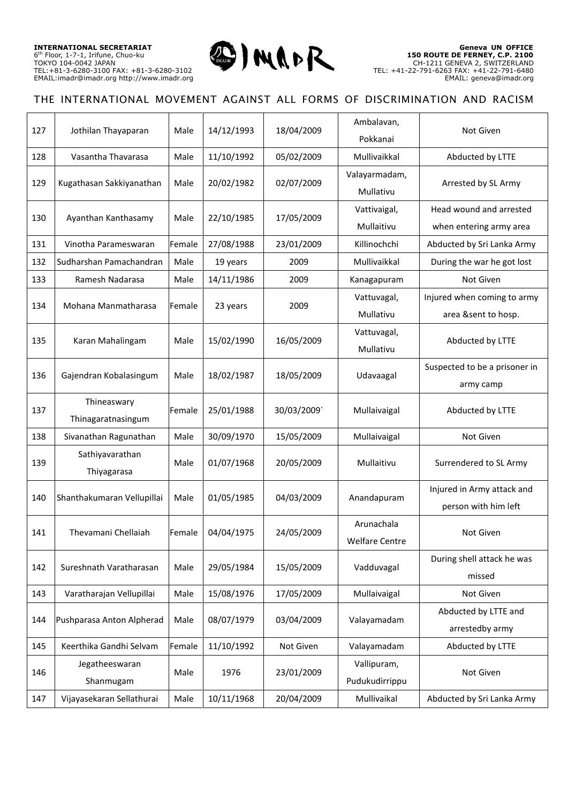

| 127 | Jothilan Thayaparan               | Male   | 14/12/1993 | 18/04/2009 | Ambalavan,<br>Pokkanai        | Not Given                                          |
|-----|-----------------------------------|--------|------------|------------|-------------------------------|----------------------------------------------------|
| 128 | Vasantha Thavarasa                | Male   | 11/10/1992 | 05/02/2009 | Mullivaikkal                  | Abducted by LTTE                                   |
| 129 | Kugathasan Sakkiyanathan          | Male   | 20/02/1982 | 02/07/2009 | Valayarmadam,<br>Mullativu    | Arrested by SL Army                                |
| 130 | Ayanthan Kanthasamy               | Male   | 22/10/1985 | 17/05/2009 | Vattivaigal,<br>Mullaitivu    | Head wound and arrested<br>when entering army area |
| 131 | Vinotha Parameswaran              | Female | 27/08/1988 | 23/01/2009 | Killinochchi                  | Abducted by Sri Lanka Army                         |
| 132 | Sudharshan Pamachandran           | Male   | 19 years   | 2009       | Mullivaikkal                  | During the war he got lost                         |
| 133 | Ramesh Nadarasa                   | Male   | 14/11/1986 | 2009       | Kanagapuram                   | Not Given                                          |
| 134 | Mohana Manmatharasa               | Female | 23 years   | 2009       | Vattuvagal,<br>Mullativu      | Injured when coming to army<br>area &sent to hosp. |
| 135 | Karan Mahalingam                  | Male   | 15/02/1990 | 16/05/2009 | Vattuvagal,<br>Mullativu      | Abducted by LTTE                                   |
| 136 | Gajendran Kobalasingum            | Male   | 18/02/1987 | 18/05/2009 | Udavaagal                     | Suspected to be a prisoner in<br>army camp         |
| 137 | Thineaswary<br>Thinagaratnasingum | Female | 25/01/1988 | 30/03/2009 | Mullaivaigal                  | Abducted by LTTE                                   |
| 138 | Sivanathan Ragunathan             | Male   | 30/09/1970 | 15/05/2009 | Mullaivaigal                  | Not Given                                          |
| 139 | Sathiyavarathan<br>Thiyagarasa    | Male   | 01/07/1968 | 20/05/2009 | Mullaitivu                    | Surrendered to SL Army                             |
| 140 | Shanthakumaran Vellupillai        | Male   | 01/05/1985 | 04/03/2009 | Anandapuram                   | Injured in Army attack and<br>person with him left |
| 141 | Thevamani Chellaiah               | Female | 04/04/1975 | 24/05/2009 | Arunachala<br>Welfare Centre  | Not Given                                          |
| 142 | Sureshnath Varatharasan           | Male   | 29/05/1984 | 15/05/2009 | Vadduvagal                    | During shell attack he was<br>missed               |
| 143 | Varatharajan Vellupillai          | Male   | 15/08/1976 | 17/05/2009 | Mullaivaigal                  | Not Given                                          |
| 144 | Pushparasa Anton Alpherad         | Male   | 08/07/1979 | 03/04/2009 | Valayamadam                   | Abducted by LTTE and<br>arrestedby army            |
| 145 | Keerthika Gandhi Selvam           | Female | 11/10/1992 | Not Given  | Valayamadam                   | Abducted by LTTE                                   |
| 146 | Jegatheeswaran<br>Shanmugam       | Male   | 1976       | 23/01/2009 | Vallipuram,<br>Pudukudirrippu | Not Given                                          |
| 147 | Vijayasekaran Sellathurai         | Male   | 10/11/1968 | 20/04/2009 | Mullivaikal                   | Abducted by Sri Lanka Army                         |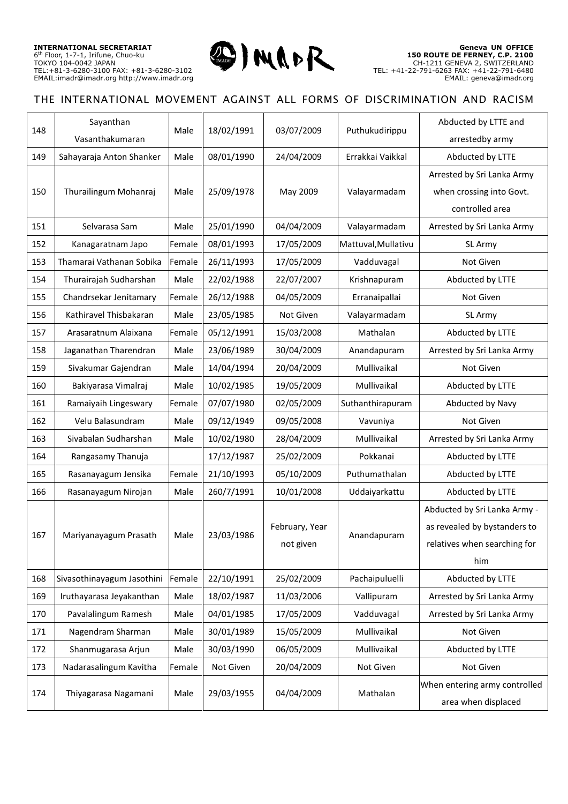

| 148 | Sayanthan                  | Male   | 18/02/1991 |                | Puthukudirippu      | Abducted by LTTE and          |
|-----|----------------------------|--------|------------|----------------|---------------------|-------------------------------|
|     | Vasanthakumaran            |        |            | 03/07/2009     |                     | arrestedby army               |
| 149 | Sahayaraja Anton Shanker   | Male   | 08/01/1990 | 24/04/2009     | Errakkai Vaikkal    | Abducted by LTTE              |
|     |                            |        |            |                |                     | Arrested by Sri Lanka Army    |
| 150 | Thurailingum Mohanraj      | Male   | 25/09/1978 | May 2009       | Valayarmadam        | when crossing into Govt.      |
|     |                            |        |            |                |                     | controlled area               |
| 151 | Selvarasa Sam              | Male   | 25/01/1990 | 04/04/2009     | Valayarmadam        | Arrested by Sri Lanka Army    |
| 152 | Kanagaratnam Japo          | Female | 08/01/1993 | 17/05/2009     | Mattuval, Mullativu | SL Army                       |
| 153 | Thamarai Vathanan Sobika   | Female | 26/11/1993 | 17/05/2009     | Vadduvagal          | Not Given                     |
| 154 | Thurairajah Sudharshan     | Male   | 22/02/1988 | 22/07/2007     | Krishnapuram        | Abducted by LTTE              |
| 155 | Chandrsekar Jenitamary     | Female | 26/12/1988 | 04/05/2009     | Erranaipallai       | Not Given                     |
| 156 | Kathiravel Thisbakaran     | Male   | 23/05/1985 | Not Given      | Valayarmadam        | SL Army                       |
| 157 | Arasaratnum Alaixana       | Female | 05/12/1991 | 15/03/2008     | Mathalan            | Abducted by LTTE              |
| 158 | Jaganathan Tharendran      | Male   | 23/06/1989 | 30/04/2009     | Anandapuram         | Arrested by Sri Lanka Army    |
| 159 | Sivakumar Gajendran        | Male   | 14/04/1994 | 20/04/2009     | Mullivaikal         | Not Given                     |
| 160 | Bakiyarasa Vimalraj        | Male   | 10/02/1985 | 19/05/2009     | Mullivaikal         | Abducted by LTTE              |
| 161 | Ramaiyaih Lingeswary       | Female | 07/07/1980 | 02/05/2009     | Suthanthirapuram    | Abducted by Navy              |
| 162 | Velu Balasundram           | Male   | 09/12/1949 | 09/05/2008     | Vavuniya            | Not Given                     |
| 163 | Sivabalan Sudharshan       | Male   | 10/02/1980 | 28/04/2009     | Mullivaikal         | Arrested by Sri Lanka Army    |
| 164 | Rangasamy Thanuja          |        | 17/12/1987 | 25/02/2009     | Pokkanai            | Abducted by LTTE              |
| 165 | Rasanayagum Jensika        | Female | 21/10/1993 | 05/10/2009     | Puthumathalan       | Abducted by LTTE              |
| 166 | Rasanayagum Nirojan        | Male   | 260/7/1991 | 10/01/2008     | Uddaiyarkattu       | Abducted by LTTE              |
|     |                            |        |            |                |                     | Abducted by Sri Lanka Army -  |
| 167 | Mariyanayagum Prasath      | Male   | 23/03/1986 | February, Year | Anandapuram         | as revealed by bystanders to  |
|     |                            |        |            | not given      |                     | relatives when searching for  |
|     |                            |        |            |                |                     | him                           |
| 168 | Sivasothinayagum Jasothini | Female | 22/10/1991 | 25/02/2009     | Pachaipuluelli      | Abducted by LTTE              |
| 169 | Iruthayarasa Jeyakanthan   | Male   | 18/02/1987 | 11/03/2006     | Vallipuram          | Arrested by Sri Lanka Army    |
| 170 | Pavalalingum Ramesh        | Male   | 04/01/1985 | 17/05/2009     | Vadduvagal          | Arrested by Sri Lanka Army    |
| 171 | Nagendram Sharman          | Male   | 30/01/1989 | 15/05/2009     | Mullivaikal         | Not Given                     |
| 172 | Shanmugarasa Arjun         | Male   | 30/03/1990 | 06/05/2009     | Mullivaikal         | Abducted by LTTE              |
| 173 | Nadarasalingum Kavitha     | Female | Not Given  | 20/04/2009     | Not Given           | Not Given                     |
|     |                            |        | 29/03/1955 | 04/04/2009     | Mathalan            | When entering army controlled |
| 174 | Thiyagarasa Nagamani       | Male   |            |                |                     | area when displaced           |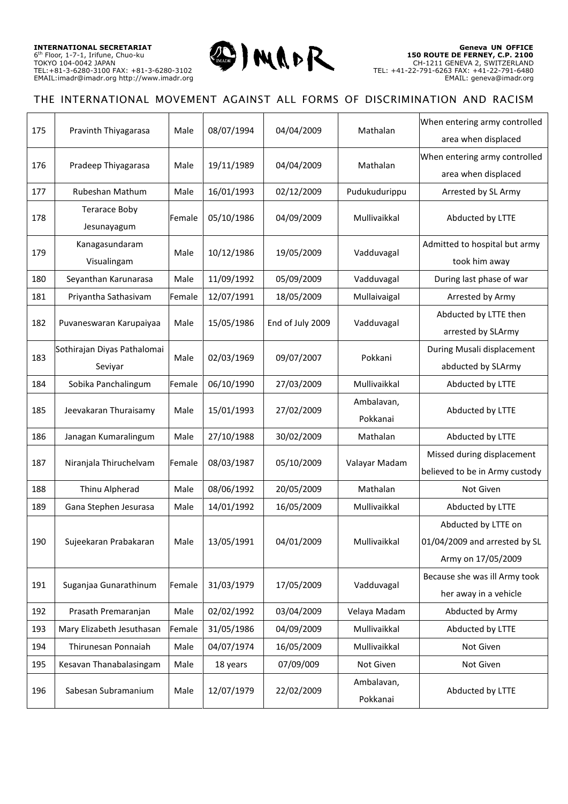

| 175 | Pravinth Thiyagarasa                   | Male   | 08/07/1994 | 04/04/2009       | Mathalan               | When entering army controlled<br>area when displaced                       |
|-----|----------------------------------------|--------|------------|------------------|------------------------|----------------------------------------------------------------------------|
| 176 | Pradeep Thiyagarasa                    | Male   | 19/11/1989 | 04/04/2009       | Mathalan               | When entering army controlled<br>area when displaced                       |
| 177 | Rubeshan Mathum                        | Male   | 16/01/1993 | 02/12/2009       | Pudukudurippu          | Arrested by SL Army                                                        |
| 178 | <b>Terarace Boby</b><br>Jesunayagum    | Female | 05/10/1986 | 04/09/2009       | Mullivaikkal           | Abducted by LTTE                                                           |
| 179 | Kanagasundaram<br>Visualingam          | Male   | 10/12/1986 | 19/05/2009       | Vadduvagal             | Admitted to hospital but army<br>took him away                             |
| 180 | Seyanthan Karunarasa                   | Male   | 11/09/1992 | 05/09/2009       | Vadduvagal             | During last phase of war                                                   |
| 181 | Priyantha Sathasivam                   | Female | 12/07/1991 | 18/05/2009       | Mullaivaigal           | Arrested by Army                                                           |
| 182 | Puvaneswaran Karupaiyaa                | Male   | 15/05/1986 | End of July 2009 | Vadduvagal             | Abducted by LTTE then<br>arrested by SLArmy                                |
| 183 | Sothirajan Diyas Pathalomai<br>Seviyar | Male   | 02/03/1969 | 09/07/2007       | Pokkani                | During Musali displacement<br>abducted by SLArmy                           |
| 184 | Sobika Panchalingum                    | Female | 06/10/1990 | 27/03/2009       | Mullivaikkal           | Abducted by LTTE                                                           |
| 185 | Jeevakaran Thuraisamy                  | Male   | 15/01/1993 | 27/02/2009       | Ambalavan,<br>Pokkanai | Abducted by LTTE                                                           |
| 186 | Janagan Kumaralingum                   | Male   | 27/10/1988 | 30/02/2009       | Mathalan               | Abducted by LTTE                                                           |
| 187 | Niranjala Thiruchelvam                 | Female | 08/03/1987 | 05/10/2009       | Valayar Madam          | Missed during displacement<br>believed to be in Army custody               |
| 188 | Thinu Alpherad                         | Male   | 08/06/1992 | 20/05/2009       | Mathalan               | Not Given                                                                  |
| 189 | Gana Stephen Jesurasa                  | Male   | 14/01/1992 | 16/05/2009       | Mullivaikkal           | Abducted by LTTE                                                           |
| 190 | Sujeekaran Prabakaran                  | Male   | 13/05/1991 | 04/01/2009       | Mullivaikkal           | Abducted by LTTE on<br>01/04/2009 and arrested by SL<br>Army on 17/05/2009 |
| 191 | Suganjaa Gunarathinum                  | Female | 31/03/1979 | 17/05/2009       | Vadduvagal             | Because she was ill Army took<br>her away in a vehicle                     |
| 192 | Prasath Premaranjan                    | Male   | 02/02/1992 | 03/04/2009       | Velaya Madam           | Abducted by Army                                                           |
| 193 | Mary Elizabeth Jesuthasan              | Female | 31/05/1986 | 04/09/2009       | Mullivaikkal           | Abducted by LTTE                                                           |
| 194 | Thirunesan Ponnaiah                    | Male   | 04/07/1974 | 16/05/2009       | Mullivaikkal           | Not Given                                                                  |
| 195 | Kesavan Thanabalasingam                | Male   | 18 years   | 07/09/009        | Not Given              | Not Given                                                                  |
| 196 | Sabesan Subramanium                    | Male   | 12/07/1979 | 22/02/2009       | Ambalavan,<br>Pokkanai | Abducted by LTTE                                                           |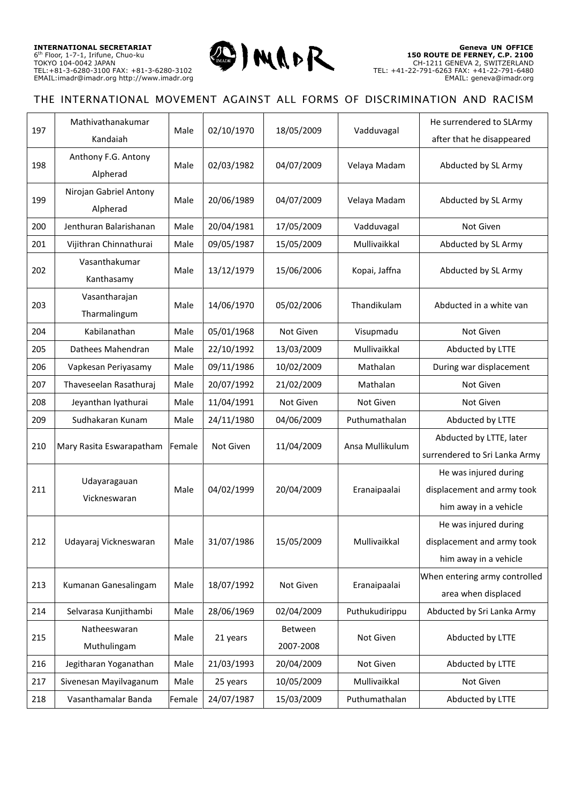

| 197 | Mathivathanakumar<br>Kandaiah      | Male   | 02/10/1970 | 18/05/2009           | Vadduvagal      | He surrendered to SLArmy<br>after that he disappeared                        |
|-----|------------------------------------|--------|------------|----------------------|-----------------|------------------------------------------------------------------------------|
| 198 | Anthony F.G. Antony<br>Alpherad    | Male   | 02/03/1982 | 04/07/2009           | Velaya Madam    | Abducted by SL Army                                                          |
| 199 | Nirojan Gabriel Antony<br>Alpherad | Male   | 20/06/1989 | 04/07/2009           | Velaya Madam    | Abducted by SL Army                                                          |
| 200 | Jenthuran Balarishanan             | Male   | 20/04/1981 | 17/05/2009           | Vadduvagal      | Not Given                                                                    |
| 201 | Vijithran Chinnathurai             | Male   | 09/05/1987 | 15/05/2009           | Mullivaikkal    | Abducted by SL Army                                                          |
| 202 | Vasanthakumar<br>Kanthasamy        | Male   | 13/12/1979 | 15/06/2006           | Kopai, Jaffna   | Abducted by SL Army                                                          |
| 203 | Vasantharajan<br>Tharmalingum      | Male   | 14/06/1970 | 05/02/2006           | Thandikulam     | Abducted in a white van                                                      |
| 204 | Kabilanathan                       | Male   | 05/01/1968 | Not Given            | Visupmadu       | Not Given                                                                    |
| 205 | Dathees Mahendran                  | Male   | 22/10/1992 | 13/03/2009           | Mullivaikkal    | Abducted by LTTE                                                             |
| 206 | Vapkesan Periyasamy                | Male   | 09/11/1986 | 10/02/2009           | Mathalan        | During war displacement                                                      |
| 207 | Thaveseelan Rasathuraj             | Male   | 20/07/1992 | 21/02/2009           | Mathalan        | Not Given                                                                    |
| 208 | Jeyanthan Iyathurai                | Male   | 11/04/1991 | Not Given            | Not Given       | Not Given                                                                    |
| 209 | Sudhakaran Kunam                   | Male   | 24/11/1980 | 04/06/2009           | Puthumathalan   | Abducted by LTTE                                                             |
| 210 | Mary Rasita Eswarapatham           | Female | Not Given  | 11/04/2009           | Ansa Mullikulum | Abducted by LTTE, later<br>surrendered to Sri Lanka Army                     |
| 211 | Udayaragauan<br>Vickneswaran       | Male   | 04/02/1999 | 20/04/2009           | Eranaipaalai    | He was injured during<br>displacement and army took<br>him away in a vehicle |
| 212 | Udayaraj Vickneswaran              | Male   | 31/07/1986 | 15/05/2009           | Mullivaikkal    | He was injured during<br>displacement and army took<br>him away in a vehicle |
| 213 | Kumanan Ganesalingam               | Male   | 18/07/1992 | Not Given            | Eranaipaalai    | When entering army controlled<br>area when displaced                         |
| 214 | Selvarasa Kunjithambi              | Male   | 28/06/1969 | 02/04/2009           | Puthukudirippu  | Abducted by Sri Lanka Army                                                   |
| 215 | Natheeswaran<br>Muthulingam        | Male   | 21 years   | Between<br>2007-2008 | Not Given       | Abducted by LTTE                                                             |
| 216 | Jegitharan Yoganathan              | Male   | 21/03/1993 | 20/04/2009           | Not Given       | Abducted by LTTE                                                             |
| 217 | Sivenesan Mayilvaganum             | Male   | 25 years   | 10/05/2009           | Mullivaikkal    | Not Given                                                                    |
| 218 | Vasanthamalar Banda                | Female | 24/07/1987 | 15/03/2009           | Puthumathalan   | Abducted by LTTE                                                             |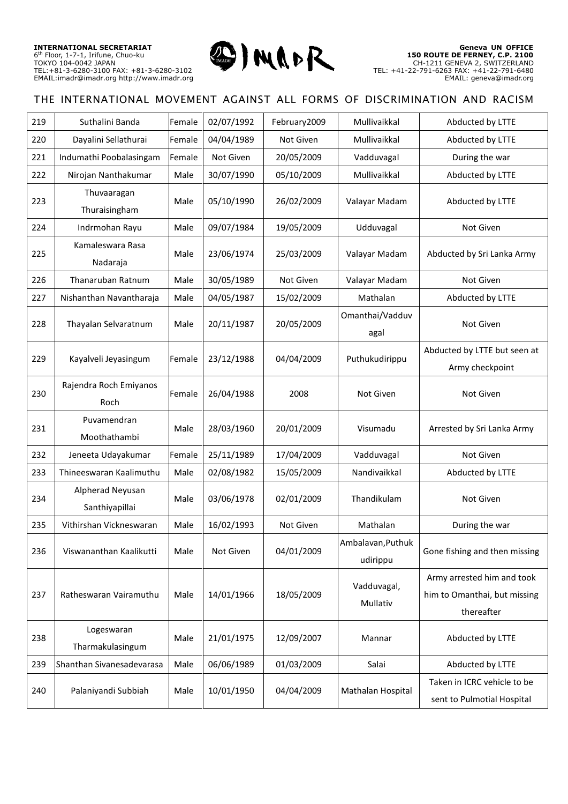

| 220<br>04/04/1989<br>Dayalini Sellathurai<br>Female<br>Not Given<br>Mullivaikkal<br>Abducted by LTTE<br>221<br>Female<br>20/05/2009<br>Indumathi Poobalasingam<br>Not Given<br>Vadduvagal<br>During the war<br>222<br>30/07/1990<br>Mullivaikkal<br>Abducted by LTTE<br>Nirojan Nanthakumar<br>Male<br>05/10/2009<br>Thuvaaragan<br>223<br>05/10/1990<br>26/02/2009<br>Valayar Madam<br>Abducted by LTTE<br>Male<br>Thuraisingham<br>09/07/1984<br>224<br>Indrmohan Rayu<br>19/05/2009<br>Udduvagal<br>Not Given<br>Male<br>Kamaleswara Rasa<br>23/06/1974<br>25/03/2009<br>225<br>Valayar Madam<br>Abducted by Sri Lanka Army<br>Male<br>Nadaraja<br>226<br>Thanaruban Ratnum<br>30/05/1989<br>Male<br>Not Given<br>Valayar Madam<br>Not Given<br>227<br>04/05/1987<br>Nishanthan Navantharaja<br>15/02/2009<br>Mathalan<br>Abducted by LTTE<br>Male<br>Omanthai/Vadduv<br>228<br>20/05/2009<br>Thayalan Selvaratnum<br>20/11/1987<br>Not Given<br>Male<br>agal<br>Abducted by LTTE but seen at<br>229<br>Kayalveli Jeyasingum<br>23/12/1988<br>04/04/2009<br>Puthukudirippu<br>Female<br>Army checkpoint<br>Rajendra Roch Emiyanos<br>230<br>26/04/1988<br>2008<br>Not Given<br><b>Not Given</b><br>Female<br>Roch<br>Puvamendran<br>231<br>Male<br>28/03/1960<br>20/01/2009<br>Arrested by Sri Lanka Army<br>Visumadu<br>Moothathambi<br>232<br>25/11/1989<br>17/04/2009<br>Vadduvagal<br>Not Given<br>Jeneeta Udayakumar<br>Female<br>233<br>Nandivaikkal<br>Thineeswaran Kaalimuthu<br>02/08/1982<br>15/05/2009<br>Abducted by LTTE<br>Male<br>Alpherad Neyusan<br>03/06/1978<br>02/01/2009<br>Thandikulam<br>234<br>Not Given<br>Male<br>Santhiyapillai<br>235<br>Vithirshan Vickneswaran<br>16/02/1993<br>Not Given<br>Mathalan<br>Male<br>During the war<br>Ambalavan, Puthuk<br>236<br>Viswananthan Kaalikutti<br>Not Given<br>04/01/2009<br>Gone fishing and then missing<br>Male<br>udirippu<br>Army arrested him and took<br>Vadduvagal,<br>18/05/2009<br>him to Omanthai, but missing<br>237<br>Ratheswaran Vairamuthu<br>14/01/1966<br>Male<br>Mullativ<br>thereafter<br>Logeswaran<br>238<br>21/01/1975<br>12/09/2007<br>Abducted by LTTE<br>Male<br>Mannar<br>Tharmakulasingum<br>Shanthan Sivanesadevarasa<br>06/06/1989<br>01/03/2009<br>Abducted by LTTE<br>239<br>Male<br>Salai<br>Taken in ICRC vehicle to be<br>240<br>Palaniyandi Subbiah<br>10/01/1950<br>04/04/2009<br>Mathalan Hospital<br>Male | 219 | Suthalini Banda | Female | 02/07/1992 | February2009 | Mullivaikkal | Abducted by LTTE           |
|---------------------------------------------------------------------------------------------------------------------------------------------------------------------------------------------------------------------------------------------------------------------------------------------------------------------------------------------------------------------------------------------------------------------------------------------------------------------------------------------------------------------------------------------------------------------------------------------------------------------------------------------------------------------------------------------------------------------------------------------------------------------------------------------------------------------------------------------------------------------------------------------------------------------------------------------------------------------------------------------------------------------------------------------------------------------------------------------------------------------------------------------------------------------------------------------------------------------------------------------------------------------------------------------------------------------------------------------------------------------------------------------------------------------------------------------------------------------------------------------------------------------------------------------------------------------------------------------------------------------------------------------------------------------------------------------------------------------------------------------------------------------------------------------------------------------------------------------------------------------------------------------------------------------------------------------------------------------------------------------------------------------------------------------------------------------------------------------------------------------------------------------------------------------------------------------------------------------------------------------------------------------------------------------------------------------------------------------------------------------------------------------------------------------------|-----|-----------------|--------|------------|--------------|--------------|----------------------------|
|                                                                                                                                                                                                                                                                                                                                                                                                                                                                                                                                                                                                                                                                                                                                                                                                                                                                                                                                                                                                                                                                                                                                                                                                                                                                                                                                                                                                                                                                                                                                                                                                                                                                                                                                                                                                                                                                                                                                                                                                                                                                                                                                                                                                                                                                                                                                                                                                                           |     |                 |        |            |              |              |                            |
|                                                                                                                                                                                                                                                                                                                                                                                                                                                                                                                                                                                                                                                                                                                                                                                                                                                                                                                                                                                                                                                                                                                                                                                                                                                                                                                                                                                                                                                                                                                                                                                                                                                                                                                                                                                                                                                                                                                                                                                                                                                                                                                                                                                                                                                                                                                                                                                                                           |     |                 |        |            |              |              |                            |
|                                                                                                                                                                                                                                                                                                                                                                                                                                                                                                                                                                                                                                                                                                                                                                                                                                                                                                                                                                                                                                                                                                                                                                                                                                                                                                                                                                                                                                                                                                                                                                                                                                                                                                                                                                                                                                                                                                                                                                                                                                                                                                                                                                                                                                                                                                                                                                                                                           |     |                 |        |            |              |              |                            |
|                                                                                                                                                                                                                                                                                                                                                                                                                                                                                                                                                                                                                                                                                                                                                                                                                                                                                                                                                                                                                                                                                                                                                                                                                                                                                                                                                                                                                                                                                                                                                                                                                                                                                                                                                                                                                                                                                                                                                                                                                                                                                                                                                                                                                                                                                                                                                                                                                           |     |                 |        |            |              |              |                            |
|                                                                                                                                                                                                                                                                                                                                                                                                                                                                                                                                                                                                                                                                                                                                                                                                                                                                                                                                                                                                                                                                                                                                                                                                                                                                                                                                                                                                                                                                                                                                                                                                                                                                                                                                                                                                                                                                                                                                                                                                                                                                                                                                                                                                                                                                                                                                                                                                                           |     |                 |        |            |              |              |                            |
|                                                                                                                                                                                                                                                                                                                                                                                                                                                                                                                                                                                                                                                                                                                                                                                                                                                                                                                                                                                                                                                                                                                                                                                                                                                                                                                                                                                                                                                                                                                                                                                                                                                                                                                                                                                                                                                                                                                                                                                                                                                                                                                                                                                                                                                                                                                                                                                                                           |     |                 |        |            |              |              |                            |
|                                                                                                                                                                                                                                                                                                                                                                                                                                                                                                                                                                                                                                                                                                                                                                                                                                                                                                                                                                                                                                                                                                                                                                                                                                                                                                                                                                                                                                                                                                                                                                                                                                                                                                                                                                                                                                                                                                                                                                                                                                                                                                                                                                                                                                                                                                                                                                                                                           |     |                 |        |            |              |              |                            |
|                                                                                                                                                                                                                                                                                                                                                                                                                                                                                                                                                                                                                                                                                                                                                                                                                                                                                                                                                                                                                                                                                                                                                                                                                                                                                                                                                                                                                                                                                                                                                                                                                                                                                                                                                                                                                                                                                                                                                                                                                                                                                                                                                                                                                                                                                                                                                                                                                           |     |                 |        |            |              |              |                            |
|                                                                                                                                                                                                                                                                                                                                                                                                                                                                                                                                                                                                                                                                                                                                                                                                                                                                                                                                                                                                                                                                                                                                                                                                                                                                                                                                                                                                                                                                                                                                                                                                                                                                                                                                                                                                                                                                                                                                                                                                                                                                                                                                                                                                                                                                                                                                                                                                                           |     |                 |        |            |              |              |                            |
|                                                                                                                                                                                                                                                                                                                                                                                                                                                                                                                                                                                                                                                                                                                                                                                                                                                                                                                                                                                                                                                                                                                                                                                                                                                                                                                                                                                                                                                                                                                                                                                                                                                                                                                                                                                                                                                                                                                                                                                                                                                                                                                                                                                                                                                                                                                                                                                                                           |     |                 |        |            |              |              |                            |
|                                                                                                                                                                                                                                                                                                                                                                                                                                                                                                                                                                                                                                                                                                                                                                                                                                                                                                                                                                                                                                                                                                                                                                                                                                                                                                                                                                                                                                                                                                                                                                                                                                                                                                                                                                                                                                                                                                                                                                                                                                                                                                                                                                                                                                                                                                                                                                                                                           |     |                 |        |            |              |              |                            |
|                                                                                                                                                                                                                                                                                                                                                                                                                                                                                                                                                                                                                                                                                                                                                                                                                                                                                                                                                                                                                                                                                                                                                                                                                                                                                                                                                                                                                                                                                                                                                                                                                                                                                                                                                                                                                                                                                                                                                                                                                                                                                                                                                                                                                                                                                                                                                                                                                           |     |                 |        |            |              |              |                            |
|                                                                                                                                                                                                                                                                                                                                                                                                                                                                                                                                                                                                                                                                                                                                                                                                                                                                                                                                                                                                                                                                                                                                                                                                                                                                                                                                                                                                                                                                                                                                                                                                                                                                                                                                                                                                                                                                                                                                                                                                                                                                                                                                                                                                                                                                                                                                                                                                                           |     |                 |        |            |              |              |                            |
|                                                                                                                                                                                                                                                                                                                                                                                                                                                                                                                                                                                                                                                                                                                                                                                                                                                                                                                                                                                                                                                                                                                                                                                                                                                                                                                                                                                                                                                                                                                                                                                                                                                                                                                                                                                                                                                                                                                                                                                                                                                                                                                                                                                                                                                                                                                                                                                                                           |     |                 |        |            |              |              |                            |
|                                                                                                                                                                                                                                                                                                                                                                                                                                                                                                                                                                                                                                                                                                                                                                                                                                                                                                                                                                                                                                                                                                                                                                                                                                                                                                                                                                                                                                                                                                                                                                                                                                                                                                                                                                                                                                                                                                                                                                                                                                                                                                                                                                                                                                                                                                                                                                                                                           |     |                 |        |            |              |              |                            |
|                                                                                                                                                                                                                                                                                                                                                                                                                                                                                                                                                                                                                                                                                                                                                                                                                                                                                                                                                                                                                                                                                                                                                                                                                                                                                                                                                                                                                                                                                                                                                                                                                                                                                                                                                                                                                                                                                                                                                                                                                                                                                                                                                                                                                                                                                                                                                                                                                           |     |                 |        |            |              |              |                            |
|                                                                                                                                                                                                                                                                                                                                                                                                                                                                                                                                                                                                                                                                                                                                                                                                                                                                                                                                                                                                                                                                                                                                                                                                                                                                                                                                                                                                                                                                                                                                                                                                                                                                                                                                                                                                                                                                                                                                                                                                                                                                                                                                                                                                                                                                                                                                                                                                                           |     |                 |        |            |              |              |                            |
|                                                                                                                                                                                                                                                                                                                                                                                                                                                                                                                                                                                                                                                                                                                                                                                                                                                                                                                                                                                                                                                                                                                                                                                                                                                                                                                                                                                                                                                                                                                                                                                                                                                                                                                                                                                                                                                                                                                                                                                                                                                                                                                                                                                                                                                                                                                                                                                                                           |     |                 |        |            |              |              |                            |
|                                                                                                                                                                                                                                                                                                                                                                                                                                                                                                                                                                                                                                                                                                                                                                                                                                                                                                                                                                                                                                                                                                                                                                                                                                                                                                                                                                                                                                                                                                                                                                                                                                                                                                                                                                                                                                                                                                                                                                                                                                                                                                                                                                                                                                                                                                                                                                                                                           |     |                 |        |            |              |              |                            |
|                                                                                                                                                                                                                                                                                                                                                                                                                                                                                                                                                                                                                                                                                                                                                                                                                                                                                                                                                                                                                                                                                                                                                                                                                                                                                                                                                                                                                                                                                                                                                                                                                                                                                                                                                                                                                                                                                                                                                                                                                                                                                                                                                                                                                                                                                                                                                                                                                           |     |                 |        |            |              |              |                            |
|                                                                                                                                                                                                                                                                                                                                                                                                                                                                                                                                                                                                                                                                                                                                                                                                                                                                                                                                                                                                                                                                                                                                                                                                                                                                                                                                                                                                                                                                                                                                                                                                                                                                                                                                                                                                                                                                                                                                                                                                                                                                                                                                                                                                                                                                                                                                                                                                                           |     |                 |        |            |              |              | sent to Pulmotial Hospital |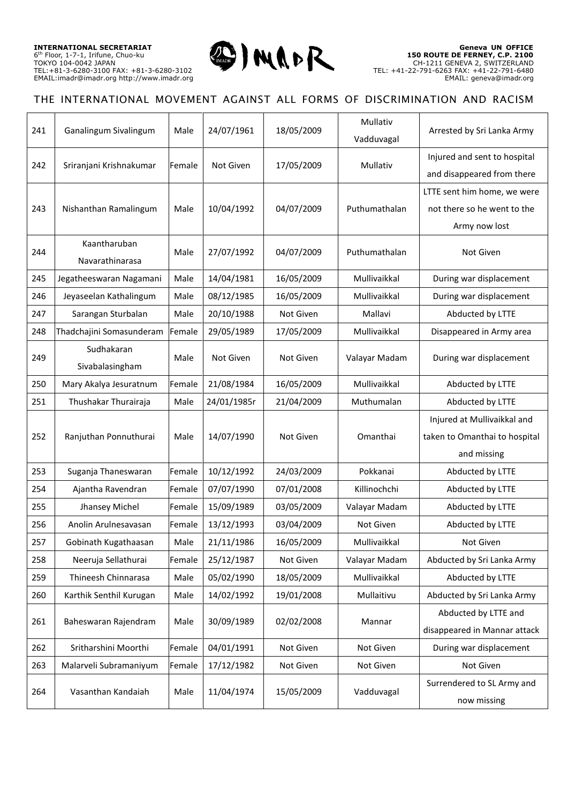

| 241 | Ganalingum Sivalingum           | Male   | 24/07/1961  | 18/05/2009 | Mullativ<br>Vadduvagal | Arrested by Sri Lanka Army                                                  |
|-----|---------------------------------|--------|-------------|------------|------------------------|-----------------------------------------------------------------------------|
| 242 | Sriranjani Krishnakumar         | Female | Not Given   | 17/05/2009 | Mullativ               | Injured and sent to hospital<br>and disappeared from there                  |
| 243 | Nishanthan Ramalingum           | Male   | 10/04/1992  | 04/07/2009 | Puthumathalan          | LTTE sent him home, we were<br>not there so he went to the<br>Army now lost |
| 244 | Kaantharuban<br>Navarathinarasa | Male   | 27/07/1992  | 04/07/2009 | Puthumathalan          | Not Given                                                                   |
| 245 | Jegatheeswaran Nagamani         | Male   | 14/04/1981  | 16/05/2009 | Mullivaikkal           | During war displacement                                                     |
| 246 | Jeyaseelan Kathalingum          | Male   | 08/12/1985  | 16/05/2009 | Mullivaikkal           | During war displacement                                                     |
| 247 | Sarangan Sturbalan              | Male   | 20/10/1988  | Not Given  | Mallavi                | Abducted by LTTE                                                            |
| 248 | Thadchajini Somasunderam        | Female | 29/05/1989  | 17/05/2009 | Mullivaikkal           | Disappeared in Army area                                                    |
| 249 | Sudhakaran<br>Sivabalasingham   | Male   | Not Given   | Not Given  | Valayar Madam          | During war displacement                                                     |
| 250 | Mary Akalya Jesuratnum          | Female | 21/08/1984  | 16/05/2009 | Mullivaikkal           | Abducted by LTTE                                                            |
| 251 | Thushakar Thurairaja            | Male   | 24/01/1985r | 21/04/2009 | Muthumalan             | Abducted by LTTE                                                            |
| 252 | Ranjuthan Ponnuthurai           | Male   | 14/07/1990  | Not Given  | Omanthai               | Injured at Mullivaikkal and<br>taken to Omanthai to hospital<br>and missing |
| 253 | Suganja Thaneswaran             | Female | 10/12/1992  | 24/03/2009 | Pokkanai               | Abducted by LTTE                                                            |
| 254 | Ajantha Ravendran               | Female | 07/07/1990  | 07/01/2008 | Killinochchi           | Abducted by LTTE                                                            |
| 255 | Jhansey Michel                  | Female | 15/09/1989  | 03/05/2009 | Valayar Madam          | Abducted by LTTE                                                            |
| 256 | Anolin Arulnesavasan            | Female | 13/12/1993  | 03/04/2009 | Not Given              | Abducted by LTTE                                                            |
| 257 | Gobinath Kugathaasan            | Male   | 21/11/1986  | 16/05/2009 | Mullivaikkal           | Not Given                                                                   |
| 258 | Neeruja Sellathurai             | Female | 25/12/1987  | Not Given  | Valayar Madam          | Abducted by Sri Lanka Army                                                  |
| 259 | Thineesh Chinnarasa             | Male   | 05/02/1990  | 18/05/2009 | Mullivaikkal           | Abducted by LTTE                                                            |
| 260 | Karthik Senthil Kurugan         | Male   | 14/02/1992  | 19/01/2008 | Mullaitivu             | Abducted by Sri Lanka Army                                                  |
| 261 | Baheswaran Rajendram            | Male   | 30/09/1989  | 02/02/2008 | Mannar                 | Abducted by LTTE and<br>disappeared in Mannar attack                        |
| 262 | Sritharshini Moorthi            | Female | 04/01/1991  | Not Given  | Not Given              | During war displacement                                                     |
| 263 | Malarveli Subramaniyum          | Female | 17/12/1982  | Not Given  | Not Given              | Not Given                                                                   |
| 264 | Vasanthan Kandaiah              | Male   | 11/04/1974  | 15/05/2009 | Vadduvagal             | Surrendered to SL Army and<br>now missing                                   |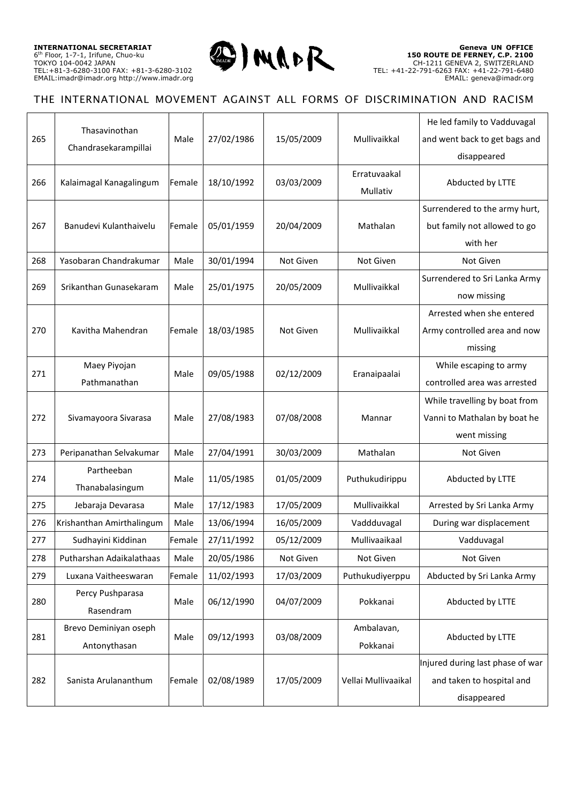

| 265<br>27/02/1986<br>15/05/2009<br>Mullivaikkal<br>and went back to get bags and<br>Male<br>Chandrasekarampillai<br>disappeared<br>Erratuvaakal<br>18/10/1992<br>03/03/2009<br>Abducted by LTTE<br>266<br>Kalaimagal Kanagalingum<br>Female<br>Mullativ<br>Surrendered to the army hurt,<br>267<br>Banudevi Kulanthaivelu<br>Female<br>05/01/1959<br>20/04/2009<br>Mathalan<br>but family not allowed to go<br>with her<br>Yasobaran Chandrakumar<br>30/01/1994<br>268<br>Male<br>Not Given<br>Not Given<br>Not Given<br>Surrendered to Sri Lanka Army<br>Mullivaikkal<br>269<br>Srikanthan Gunasekaram<br>25/01/1975<br>20/05/2009<br>Male<br>now missing<br>Arrested when she entered<br>270<br>Kavitha Mahendran<br>18/03/1985<br>Mullivaikkal<br>Female<br><b>Not Given</b><br>Army controlled area and now<br>missing<br>Maey Piyojan<br>While escaping to army<br>271<br>09/05/1988<br>02/12/2009<br>Eranaipaalai<br>Male<br>Pathmanathan<br>controlled area was arrested<br>While travelling by boat from<br>272<br>27/08/1983<br>07/08/2008<br>Vanni to Mathalan by boat he<br>Sivamayoora Sivarasa<br>Male<br>Mannar<br>went missing<br>27/04/1991<br>273<br>Peripanathan Selvakumar<br>Male<br>30/03/2009<br>Mathalan<br>Not Given<br>Partheeban<br>274<br>11/05/1985<br>01/05/2009<br>Abducted by LTTE<br>Puthukudirippu<br>Male<br>Thanabalasingum<br>Mullivaikkal<br>275<br>17/12/1983<br>17/05/2009<br>Arrested by Sri Lanka Army<br>Jebaraja Devarasa<br>Male<br>276<br>Krishanthan Amirthalingum<br>13/06/1994<br>16/05/2009<br>During war displacement<br>Male<br>Vaddduvagal<br>277<br>Sudhayini Kiddinan<br>27/11/1992<br>05/12/2009<br>Mullivaaikaal<br>Female<br>Vadduvagal<br>278<br>Putharshan Adaikalathaas<br>20/05/1986<br>Male<br>Not Given<br>Not Given<br>Not Given<br>279<br>Female<br>11/02/1993<br>Puthukudiyerppu<br>Abducted by Sri Lanka Army<br>Luxana Vaitheeswaran<br>17/03/2009<br>Percy Pushparasa<br>06/12/1990<br>04/07/2009<br>Pokkanai<br>Abducted by LTTE<br>280<br>Male<br>Rasendram<br>Brevo Deminiyan oseph<br>Ambalavan,<br>03/08/2009<br>281<br>09/12/1993<br>Abducted by LTTE<br>Male<br>Pokkanai<br>Antonythasan<br>Injured during last phase of war<br>02/08/1989<br>282<br>Sanista Arulananthum<br>Female<br>17/05/2009<br>Vellai Mullivaaikal<br>and taken to hospital and<br>disappeared |  | Thasavinothan |  |  | He led family to Vadduvagal |
|--------------------------------------------------------------------------------------------------------------------------------------------------------------------------------------------------------------------------------------------------------------------------------------------------------------------------------------------------------------------------------------------------------------------------------------------------------------------------------------------------------------------------------------------------------------------------------------------------------------------------------------------------------------------------------------------------------------------------------------------------------------------------------------------------------------------------------------------------------------------------------------------------------------------------------------------------------------------------------------------------------------------------------------------------------------------------------------------------------------------------------------------------------------------------------------------------------------------------------------------------------------------------------------------------------------------------------------------------------------------------------------------------------------------------------------------------------------------------------------------------------------------------------------------------------------------------------------------------------------------------------------------------------------------------------------------------------------------------------------------------------------------------------------------------------------------------------------------------------------------------------------------------------------------------------------------------------------------------------------------------------------------------------------------------------------------------------------------------------------------------------------------------------------------------------------------------------------------------------------------------------------------------------------------------------------------------------------------------|--|---------------|--|--|-----------------------------|
|                                                                                                                                                                                                                                                                                                                                                                                                                                                                                                                                                                                                                                                                                                                                                                                                                                                                                                                                                                                                                                                                                                                                                                                                                                                                                                                                                                                                                                                                                                                                                                                                                                                                                                                                                                                                                                                                                                                                                                                                                                                                                                                                                                                                                                                                                                                                                  |  |               |  |  |                             |
|                                                                                                                                                                                                                                                                                                                                                                                                                                                                                                                                                                                                                                                                                                                                                                                                                                                                                                                                                                                                                                                                                                                                                                                                                                                                                                                                                                                                                                                                                                                                                                                                                                                                                                                                                                                                                                                                                                                                                                                                                                                                                                                                                                                                                                                                                                                                                  |  |               |  |  |                             |
|                                                                                                                                                                                                                                                                                                                                                                                                                                                                                                                                                                                                                                                                                                                                                                                                                                                                                                                                                                                                                                                                                                                                                                                                                                                                                                                                                                                                                                                                                                                                                                                                                                                                                                                                                                                                                                                                                                                                                                                                                                                                                                                                                                                                                                                                                                                                                  |  |               |  |  |                             |
|                                                                                                                                                                                                                                                                                                                                                                                                                                                                                                                                                                                                                                                                                                                                                                                                                                                                                                                                                                                                                                                                                                                                                                                                                                                                                                                                                                                                                                                                                                                                                                                                                                                                                                                                                                                                                                                                                                                                                                                                                                                                                                                                                                                                                                                                                                                                                  |  |               |  |  |                             |
|                                                                                                                                                                                                                                                                                                                                                                                                                                                                                                                                                                                                                                                                                                                                                                                                                                                                                                                                                                                                                                                                                                                                                                                                                                                                                                                                                                                                                                                                                                                                                                                                                                                                                                                                                                                                                                                                                                                                                                                                                                                                                                                                                                                                                                                                                                                                                  |  |               |  |  |                             |
|                                                                                                                                                                                                                                                                                                                                                                                                                                                                                                                                                                                                                                                                                                                                                                                                                                                                                                                                                                                                                                                                                                                                                                                                                                                                                                                                                                                                                                                                                                                                                                                                                                                                                                                                                                                                                                                                                                                                                                                                                                                                                                                                                                                                                                                                                                                                                  |  |               |  |  |                             |
|                                                                                                                                                                                                                                                                                                                                                                                                                                                                                                                                                                                                                                                                                                                                                                                                                                                                                                                                                                                                                                                                                                                                                                                                                                                                                                                                                                                                                                                                                                                                                                                                                                                                                                                                                                                                                                                                                                                                                                                                                                                                                                                                                                                                                                                                                                                                                  |  |               |  |  |                             |
|                                                                                                                                                                                                                                                                                                                                                                                                                                                                                                                                                                                                                                                                                                                                                                                                                                                                                                                                                                                                                                                                                                                                                                                                                                                                                                                                                                                                                                                                                                                                                                                                                                                                                                                                                                                                                                                                                                                                                                                                                                                                                                                                                                                                                                                                                                                                                  |  |               |  |  |                             |
|                                                                                                                                                                                                                                                                                                                                                                                                                                                                                                                                                                                                                                                                                                                                                                                                                                                                                                                                                                                                                                                                                                                                                                                                                                                                                                                                                                                                                                                                                                                                                                                                                                                                                                                                                                                                                                                                                                                                                                                                                                                                                                                                                                                                                                                                                                                                                  |  |               |  |  |                             |
|                                                                                                                                                                                                                                                                                                                                                                                                                                                                                                                                                                                                                                                                                                                                                                                                                                                                                                                                                                                                                                                                                                                                                                                                                                                                                                                                                                                                                                                                                                                                                                                                                                                                                                                                                                                                                                                                                                                                                                                                                                                                                                                                                                                                                                                                                                                                                  |  |               |  |  |                             |
|                                                                                                                                                                                                                                                                                                                                                                                                                                                                                                                                                                                                                                                                                                                                                                                                                                                                                                                                                                                                                                                                                                                                                                                                                                                                                                                                                                                                                                                                                                                                                                                                                                                                                                                                                                                                                                                                                                                                                                                                                                                                                                                                                                                                                                                                                                                                                  |  |               |  |  |                             |
|                                                                                                                                                                                                                                                                                                                                                                                                                                                                                                                                                                                                                                                                                                                                                                                                                                                                                                                                                                                                                                                                                                                                                                                                                                                                                                                                                                                                                                                                                                                                                                                                                                                                                                                                                                                                                                                                                                                                                                                                                                                                                                                                                                                                                                                                                                                                                  |  |               |  |  |                             |
|                                                                                                                                                                                                                                                                                                                                                                                                                                                                                                                                                                                                                                                                                                                                                                                                                                                                                                                                                                                                                                                                                                                                                                                                                                                                                                                                                                                                                                                                                                                                                                                                                                                                                                                                                                                                                                                                                                                                                                                                                                                                                                                                                                                                                                                                                                                                                  |  |               |  |  |                             |
|                                                                                                                                                                                                                                                                                                                                                                                                                                                                                                                                                                                                                                                                                                                                                                                                                                                                                                                                                                                                                                                                                                                                                                                                                                                                                                                                                                                                                                                                                                                                                                                                                                                                                                                                                                                                                                                                                                                                                                                                                                                                                                                                                                                                                                                                                                                                                  |  |               |  |  |                             |
|                                                                                                                                                                                                                                                                                                                                                                                                                                                                                                                                                                                                                                                                                                                                                                                                                                                                                                                                                                                                                                                                                                                                                                                                                                                                                                                                                                                                                                                                                                                                                                                                                                                                                                                                                                                                                                                                                                                                                                                                                                                                                                                                                                                                                                                                                                                                                  |  |               |  |  |                             |
|                                                                                                                                                                                                                                                                                                                                                                                                                                                                                                                                                                                                                                                                                                                                                                                                                                                                                                                                                                                                                                                                                                                                                                                                                                                                                                                                                                                                                                                                                                                                                                                                                                                                                                                                                                                                                                                                                                                                                                                                                                                                                                                                                                                                                                                                                                                                                  |  |               |  |  |                             |
|                                                                                                                                                                                                                                                                                                                                                                                                                                                                                                                                                                                                                                                                                                                                                                                                                                                                                                                                                                                                                                                                                                                                                                                                                                                                                                                                                                                                                                                                                                                                                                                                                                                                                                                                                                                                                                                                                                                                                                                                                                                                                                                                                                                                                                                                                                                                                  |  |               |  |  |                             |
|                                                                                                                                                                                                                                                                                                                                                                                                                                                                                                                                                                                                                                                                                                                                                                                                                                                                                                                                                                                                                                                                                                                                                                                                                                                                                                                                                                                                                                                                                                                                                                                                                                                                                                                                                                                                                                                                                                                                                                                                                                                                                                                                                                                                                                                                                                                                                  |  |               |  |  |                             |
|                                                                                                                                                                                                                                                                                                                                                                                                                                                                                                                                                                                                                                                                                                                                                                                                                                                                                                                                                                                                                                                                                                                                                                                                                                                                                                                                                                                                                                                                                                                                                                                                                                                                                                                                                                                                                                                                                                                                                                                                                                                                                                                                                                                                                                                                                                                                                  |  |               |  |  |                             |
|                                                                                                                                                                                                                                                                                                                                                                                                                                                                                                                                                                                                                                                                                                                                                                                                                                                                                                                                                                                                                                                                                                                                                                                                                                                                                                                                                                                                                                                                                                                                                                                                                                                                                                                                                                                                                                                                                                                                                                                                                                                                                                                                                                                                                                                                                                                                                  |  |               |  |  |                             |
|                                                                                                                                                                                                                                                                                                                                                                                                                                                                                                                                                                                                                                                                                                                                                                                                                                                                                                                                                                                                                                                                                                                                                                                                                                                                                                                                                                                                                                                                                                                                                                                                                                                                                                                                                                                                                                                                                                                                                                                                                                                                                                                                                                                                                                                                                                                                                  |  |               |  |  |                             |
|                                                                                                                                                                                                                                                                                                                                                                                                                                                                                                                                                                                                                                                                                                                                                                                                                                                                                                                                                                                                                                                                                                                                                                                                                                                                                                                                                                                                                                                                                                                                                                                                                                                                                                                                                                                                                                                                                                                                                                                                                                                                                                                                                                                                                                                                                                                                                  |  |               |  |  |                             |
|                                                                                                                                                                                                                                                                                                                                                                                                                                                                                                                                                                                                                                                                                                                                                                                                                                                                                                                                                                                                                                                                                                                                                                                                                                                                                                                                                                                                                                                                                                                                                                                                                                                                                                                                                                                                                                                                                                                                                                                                                                                                                                                                                                                                                                                                                                                                                  |  |               |  |  |                             |
|                                                                                                                                                                                                                                                                                                                                                                                                                                                                                                                                                                                                                                                                                                                                                                                                                                                                                                                                                                                                                                                                                                                                                                                                                                                                                                                                                                                                                                                                                                                                                                                                                                                                                                                                                                                                                                                                                                                                                                                                                                                                                                                                                                                                                                                                                                                                                  |  |               |  |  |                             |
|                                                                                                                                                                                                                                                                                                                                                                                                                                                                                                                                                                                                                                                                                                                                                                                                                                                                                                                                                                                                                                                                                                                                                                                                                                                                                                                                                                                                                                                                                                                                                                                                                                                                                                                                                                                                                                                                                                                                                                                                                                                                                                                                                                                                                                                                                                                                                  |  |               |  |  |                             |
|                                                                                                                                                                                                                                                                                                                                                                                                                                                                                                                                                                                                                                                                                                                                                                                                                                                                                                                                                                                                                                                                                                                                                                                                                                                                                                                                                                                                                                                                                                                                                                                                                                                                                                                                                                                                                                                                                                                                                                                                                                                                                                                                                                                                                                                                                                                                                  |  |               |  |  |                             |
|                                                                                                                                                                                                                                                                                                                                                                                                                                                                                                                                                                                                                                                                                                                                                                                                                                                                                                                                                                                                                                                                                                                                                                                                                                                                                                                                                                                                                                                                                                                                                                                                                                                                                                                                                                                                                                                                                                                                                                                                                                                                                                                                                                                                                                                                                                                                                  |  |               |  |  |                             |
|                                                                                                                                                                                                                                                                                                                                                                                                                                                                                                                                                                                                                                                                                                                                                                                                                                                                                                                                                                                                                                                                                                                                                                                                                                                                                                                                                                                                                                                                                                                                                                                                                                                                                                                                                                                                                                                                                                                                                                                                                                                                                                                                                                                                                                                                                                                                                  |  |               |  |  |                             |
|                                                                                                                                                                                                                                                                                                                                                                                                                                                                                                                                                                                                                                                                                                                                                                                                                                                                                                                                                                                                                                                                                                                                                                                                                                                                                                                                                                                                                                                                                                                                                                                                                                                                                                                                                                                                                                                                                                                                                                                                                                                                                                                                                                                                                                                                                                                                                  |  |               |  |  |                             |
|                                                                                                                                                                                                                                                                                                                                                                                                                                                                                                                                                                                                                                                                                                                                                                                                                                                                                                                                                                                                                                                                                                                                                                                                                                                                                                                                                                                                                                                                                                                                                                                                                                                                                                                                                                                                                                                                                                                                                                                                                                                                                                                                                                                                                                                                                                                                                  |  |               |  |  |                             |
|                                                                                                                                                                                                                                                                                                                                                                                                                                                                                                                                                                                                                                                                                                                                                                                                                                                                                                                                                                                                                                                                                                                                                                                                                                                                                                                                                                                                                                                                                                                                                                                                                                                                                                                                                                                                                                                                                                                                                                                                                                                                                                                                                                                                                                                                                                                                                  |  |               |  |  |                             |
|                                                                                                                                                                                                                                                                                                                                                                                                                                                                                                                                                                                                                                                                                                                                                                                                                                                                                                                                                                                                                                                                                                                                                                                                                                                                                                                                                                                                                                                                                                                                                                                                                                                                                                                                                                                                                                                                                                                                                                                                                                                                                                                                                                                                                                                                                                                                                  |  |               |  |  |                             |
|                                                                                                                                                                                                                                                                                                                                                                                                                                                                                                                                                                                                                                                                                                                                                                                                                                                                                                                                                                                                                                                                                                                                                                                                                                                                                                                                                                                                                                                                                                                                                                                                                                                                                                                                                                                                                                                                                                                                                                                                                                                                                                                                                                                                                                                                                                                                                  |  |               |  |  |                             |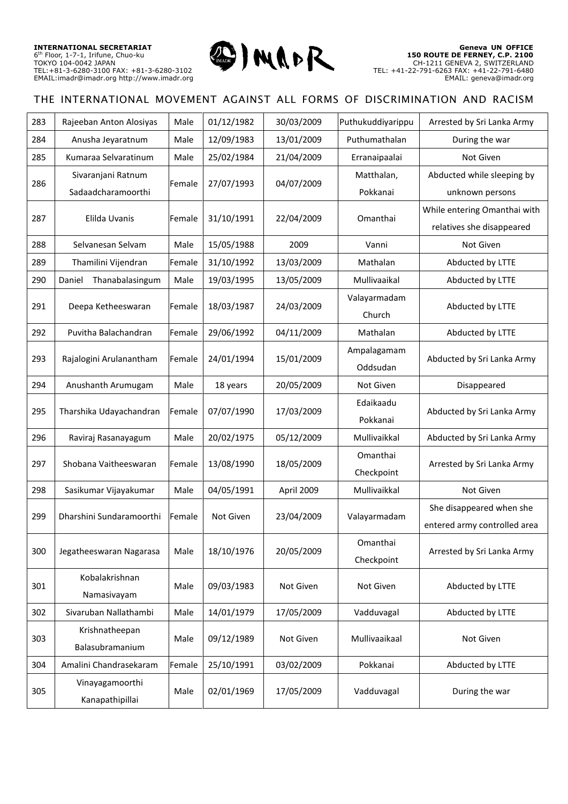

| 283 | Rajeeban Anton Alosiyas   | Male   | 01/12/1982 | 30/03/2009             | Puthukuddiyarippu | Arrested by Sri Lanka Army   |
|-----|---------------------------|--------|------------|------------------------|-------------------|------------------------------|
| 284 | Anusha Jeyaratnum         | Male   | 12/09/1983 | 13/01/2009             | Puthumathalan     | During the war               |
| 285 | Kumaraa Selvaratinum      | Male   | 25/02/1984 | 21/04/2009             | Erranaipaalai     | Not Given                    |
| 286 | Sivaranjani Ratnum        | Female | 27/07/1993 | 04/07/2009             | Matthalan,        | Abducted while sleeping by   |
|     | Sadaadcharamoorthi        |        |            |                        | Pokkanai          | unknown persons              |
| 287 | Elilda Uvanis             | Female | 31/10/1991 | 22/04/2009             | Omanthai          | While entering Omanthai with |
|     |                           |        |            |                        |                   | relatives she disappeared    |
| 288 | Selvanesan Selvam         | Male   | 15/05/1988 | 2009                   | Vanni             | Not Given                    |
| 289 | Thamilini Vijendran       | Female | 31/10/1992 | 13/03/2009             | Mathalan          | Abducted by LTTE             |
| 290 | Thanabalasingum<br>Daniel | Male   | 19/03/1995 | 13/05/2009             | Mullivaaikal      | Abducted by LTTE             |
| 291 |                           | Female | 18/03/1987 | 24/03/2009             | Valayarmadam      | Abducted by LTTE             |
|     | Deepa Ketheeswaran        |        |            |                        | Church            |                              |
| 292 | Puvitha Balachandran      | Female | 29/06/1992 | 04/11/2009             | Mathalan          | Abducted by LTTE             |
| 293 | Rajalogini Arulanantham   | Female | 24/01/1994 | 15/01/2009             | Ampalagamam       | Abducted by Sri Lanka Army   |
|     |                           |        |            |                        | Oddsudan          |                              |
| 294 | Anushanth Arumugam        | Male   | 18 years   | 20/05/2009             | Not Given         | Disappeared                  |
| 295 | Tharshika Udayachandran   | Female | 07/07/1990 | 17/03/2009             | Edaikaadu         | Abducted by Sri Lanka Army   |
|     |                           |        |            |                        | Pokkanai          |                              |
| 296 | Raviraj Rasanayagum       | Male   | 20/02/1975 | 05/12/2009             | Mullivaikkal      | Abducted by Sri Lanka Army   |
| 297 | Shobana Vaitheeswaran     | Female | 13/08/1990 | 18/05/2009             | Omanthai          | Arrested by Sri Lanka Army   |
|     |                           |        |            |                        | Checkpoint        |                              |
| 298 | Sasikumar Vijayakumar     | Male   | 04/05/1991 | April 2009             | Mullivaikkal      | Not Given                    |
| 299 | Dharshini Sundaramoorthi  | Female | Not Given  | 23/04/2009             | Valayarmadam      | She disappeared when she     |
|     |                           |        |            |                        |                   | entered army controlled area |
| 300 | Jegatheeswaran Nagarasa   | Male   | 18/10/1976 | 20/05/2009             | Omanthai          | Arrested by Sri Lanka Army   |
|     |                           |        |            |                        | Checkpoint        |                              |
| 301 | Kobalakrishnan            | Male   | 09/03/1983 | Not Given<br>Not Given |                   | Abducted by LTTE             |
|     | Namasivayam               |        |            |                        |                   |                              |
| 302 | Sivaruban Nallathambi     | Male   | 14/01/1979 | 17/05/2009             | Vadduvagal        | Abducted by LTTE             |
| 303 | Krishnatheepan            | Male   | 09/12/1989 | Not Given              | Mullivaaikaal     | Not Given                    |
|     | Balasubramanium           |        |            |                        |                   |                              |
| 304 | Amalini Chandrasekaram    | Female | 25/10/1991 | 03/02/2009             | Pokkanai          | Abducted by LTTE             |
| 305 | Vinayagamoorthi           | Male   | 02/01/1969 | 17/05/2009             | Vadduvagal        | During the war               |
|     | Kanapathipillai           |        |            |                        |                   |                              |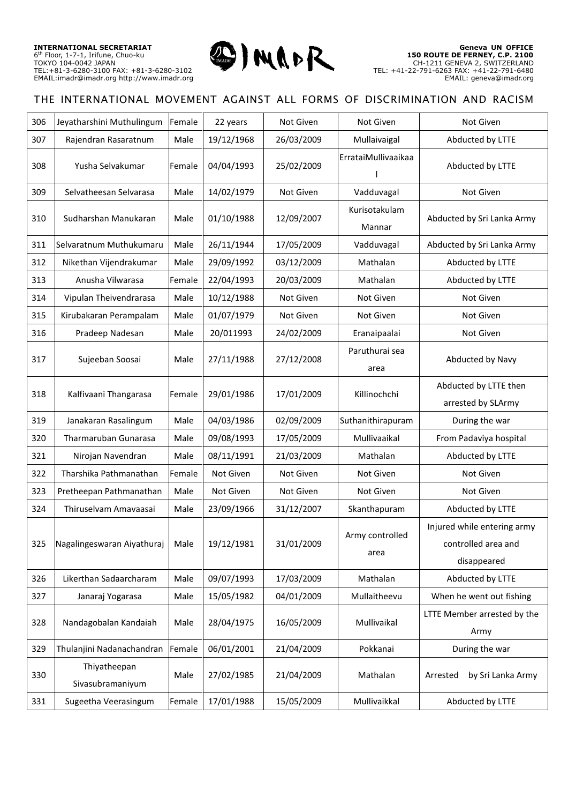

| 306 | Jeyatharshini Muthulingum         | Female | 22 years   | Not Given  | Not Given               | Not Given                                                         |
|-----|-----------------------------------|--------|------------|------------|-------------------------|-------------------------------------------------------------------|
| 307 | Rajendran Rasaratnum              | Male   | 19/12/1968 | 26/03/2009 | Mullaivaigal            | Abducted by LTTE                                                  |
| 308 | Yusha Selvakumar                  | Female | 04/04/1993 | 25/02/2009 | ErrataiMullivaaikaa     | Abducted by LTTE                                                  |
| 309 | Selvatheesan Selvarasa            | Male   | 14/02/1979 | Not Given  | Vadduvagal              | Not Given                                                         |
| 310 | Sudharshan Manukaran              | Male   | 01/10/1988 | 12/09/2007 | Kurisotakulam<br>Mannar | Abducted by Sri Lanka Army                                        |
| 311 | Selvaratnum Muthukumaru           | Male   | 26/11/1944 | 17/05/2009 | Vadduvagal              | Abducted by Sri Lanka Army                                        |
| 312 | Nikethan Vijendrakumar            | Male   | 29/09/1992 | 03/12/2009 | Mathalan                | Abducted by LTTE                                                  |
| 313 | Anusha Vilwarasa                  | Female | 22/04/1993 | 20/03/2009 | Mathalan                | Abducted by LTTE                                                  |
| 314 | Vipulan Theivendrarasa            | Male   | 10/12/1988 | Not Given  | Not Given               | Not Given                                                         |
| 315 | Kirubakaran Perampalam            | Male   | 01/07/1979 | Not Given  | Not Given               | Not Given                                                         |
| 316 | Pradeep Nadesan                   | Male   | 20/011993  | 24/02/2009 | Eranaipaalai            | Not Given                                                         |
| 317 | Sujeeban Soosai                   | Male   | 27/11/1988 | 27/12/2008 | Paruthurai sea<br>area  | Abducted by Navy                                                  |
| 318 | Kalfivaani Thangarasa             | Female | 29/01/1986 | 17/01/2009 | Killinochchi            | Abducted by LTTE then<br>arrested by SLArmy                       |
| 319 | Janakaran Rasalingum              | Male   | 04/03/1986 | 02/09/2009 | Suthanithirapuram       | During the war                                                    |
| 320 | Tharmaruban Gunarasa              | Male   | 09/08/1993 | 17/05/2009 | Mullivaaikal            | From Padaviya hospital                                            |
| 321 | Nirojan Navendran                 | Male   | 08/11/1991 | 21/03/2009 | Mathalan                | Abducted by LTTE                                                  |
| 322 | Tharshika Pathmanathan            | Female | Not Given  | Not Given  | Not Given               | Not Given                                                         |
| 323 | Pretheepan Pathmanathan           | Male   | Not Given  | Not Given  | Not Given               | Not Given                                                         |
| 324 | Thiruselvam Amavaasai             | Male   | 23/09/1966 | 31/12/2007 | Skanthapuram            | Abducted by LTTE                                                  |
| 325 | Nagalingeswaran Aiyathuraj   Male |        | 19/12/1981 | 31/01/2009 | Army controlled<br>area | Injured while entering army<br>controlled area and<br>disappeared |
| 326 | Likerthan Sadaarcharam            | Male   | 09/07/1993 | 17/03/2009 | Mathalan                | Abducted by LTTE                                                  |
| 327 | Janaraj Yogarasa                  | Male   | 15/05/1982 | 04/01/2009 | Mullaitheevu            | When he went out fishing                                          |
| 328 | Nandagobalan Kandaiah             | Male   | 28/04/1975 | 16/05/2009 | Mullivaikal             | LTTE Member arrested by the<br>Army                               |
| 329 | Thulanjini Nadanachandran         | Female | 06/01/2001 | 21/04/2009 | Pokkanai                | During the war                                                    |
| 330 | Thiyatheepan<br>Sivasubramaniyum  | Male   | 27/02/1985 | 21/04/2009 | Mathalan                | by Sri Lanka Army<br>Arrested                                     |
| 331 | Sugeetha Veerasingum              | Female | 17/01/1988 | 15/05/2009 | Mullivaikkal            | Abducted by LTTE                                                  |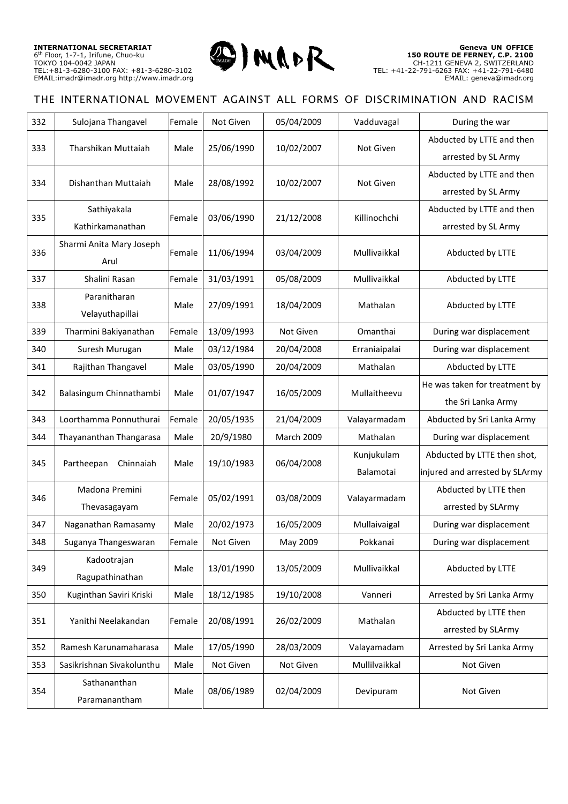

| 332 | Sulojana Thangavel             | Female | Not Given  | 05/04/2009 | Vadduvagal    | During the war                 |
|-----|--------------------------------|--------|------------|------------|---------------|--------------------------------|
| 333 | Tharshikan Muttaiah            | Male   | 25/06/1990 | 10/02/2007 | Not Given     | Abducted by LTTE and then      |
|     |                                |        |            |            |               | arrested by SL Army            |
| 334 | Dishanthan Muttaiah            | Male   | 28/08/1992 | 10/02/2007 | Not Given     | Abducted by LTTE and then      |
|     |                                |        |            |            |               | arrested by SL Army            |
| 335 | Sathiyakala                    | Female | 03/06/1990 | 21/12/2008 | Killinochchi  | Abducted by LTTE and then      |
|     | Kathirkamanathan               |        |            |            |               | arrested by SL Army            |
|     | Sharmi Anita Mary Joseph       | Female | 11/06/1994 | 03/04/2009 | Mullivaikkal  | Abducted by LTTE               |
| 336 | Arul                           |        |            |            |               |                                |
| 337 | Shalini Rasan                  | Female | 31/03/1991 | 05/08/2009 | Mullivaikkal  | Abducted by LTTE               |
| 338 | Paranitharan                   |        | 27/09/1991 |            | Mathalan      | Abducted by LTTE               |
|     | Velayuthapillai                | Male   |            | 18/04/2009 |               |                                |
| 339 | Tharmini Bakiyanathan          | Female | 13/09/1993 | Not Given  | Omanthai      | During war displacement        |
| 340 | Suresh Murugan                 | Male   | 03/12/1984 | 20/04/2008 | Erraniaipalai | During war displacement        |
| 341 | Rajithan Thangavel             | Male   | 03/05/1990 | 20/04/2009 | Mathalan      | Abducted by LTTE               |
| 342 |                                |        |            | 16/05/2009 |               | He was taken for treatment by  |
|     | Balasingum Chinnathambi        | Male   | 01/07/1947 |            | Mullaitheevu  | the Sri Lanka Army             |
| 343 | Loorthamma Ponnuthurai         | Female | 20/05/1935 | 21/04/2009 | Valayarmadam  | Abducted by Sri Lanka Army     |
| 344 | Thayananthan Thangarasa        | Male   | 20/9/1980  | March 2009 | Mathalan      | During war displacement        |
| 345 | Partheepan<br>Chinnaiah        | Male   | 19/10/1983 | 06/04/2008 | Kunjukulam    | Abducted by LTTE then shot,    |
|     |                                |        |            |            | Balamotai     | injured and arrested by SLArmy |
| 346 | Madona Premini<br>Thevasagayam | Female | 05/02/1991 | 03/08/2009 | Valayarmadam  | Abducted by LTTE then          |
|     |                                |        |            |            |               | arrested by SLArmy             |
| 347 | Naganathan Ramasamy            | Male   | 20/02/1973 | 16/05/2009 | Mullaivaigal  | During war displacement        |
| 348 | Suganya Thangeswaran           | Female | Not Given  | May 2009   | Pokkanai      | During war displacement        |
| 349 | Kadootrajan                    | Male   | 13/01/1990 | 13/05/2009 | Mullivaikkal  | Abducted by LTTE               |
|     | Ragupathinathan                |        |            |            |               |                                |
| 350 | Kuginthan Saviri Kriski        | Male   | 18/12/1985 | 19/10/2008 | Vanneri       | Arrested by Sri Lanka Army     |
|     | Yanithi Neelakandan            | Female | 20/08/1991 | 26/02/2009 | Mathalan      | Abducted by LTTE then          |
| 351 |                                |        |            |            |               | arrested by SLArmy             |
| 352 | Ramesh Karunamaharasa          | Male   | 17/05/1990 | 28/03/2009 | Valayamadam   | Arrested by Sri Lanka Army     |
| 353 | Sasikrishnan Sivakolunthu      | Male   | Not Given  | Not Given  | Mullilvaikkal | Not Given                      |
|     | Sathananthan                   |        | 08/06/1989 | 02/04/2009 | Devipuram     |                                |
| 354 | Paramanantham                  | Male   |            |            |               | Not Given                      |